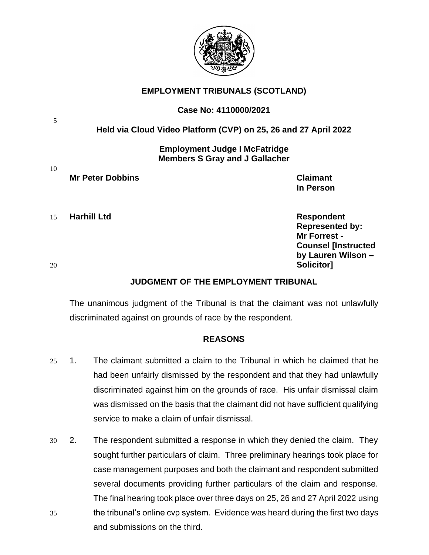

## **EMPLOYMENT TRIBUNALS (SCOTLAND)**

### **Case No: 4110000/2021**

## **Held via Cloud Video Platform (CVP) on 25, 26 and 27 April 2022**

**Employment Judge I McFatridge Members S Gray and J Gallacher**

5

10

# **Mr Peter Dobbins Claimant**

15 **Harhill Ltd Respondent**

**Represented by: Mr Forrest - Counsel [Instructed by Lauren Wilson –** 20 **Solicitor]**

**In Person**

## **JUDGMENT OF THE EMPLOYMENT TRIBUNAL**

The unanimous judgment of the Tribunal is that the claimant was not unlawfully discriminated against on grounds of race by the respondent.

### **REASONS**

- 25 1. The claimant submitted a claim to the Tribunal in which he claimed that he had been unfairly dismissed by the respondent and that they had unlawfully discriminated against him on the grounds of race. His unfair dismissal claim was dismissed on the basis that the claimant did not have sufficient qualifying service to make a claim of unfair dismissal.
- 30 2. The respondent submitted a response in which they denied the claim. They sought further particulars of claim. Three preliminary hearings took place for case management purposes and both the claimant and respondent submitted several documents providing further particulars of the claim and response. The final hearing took place over three days on 25, 26 and 27 April 2022 using 35 the tribunal's online cvp system. Evidence was heard during the first two days and submissions on the third.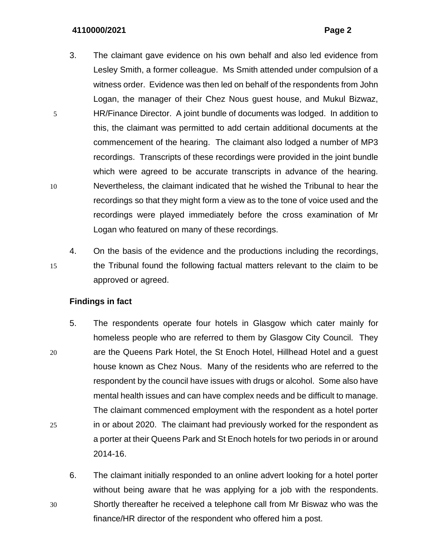- 3. The claimant gave evidence on his own behalf and also led evidence from Lesley Smith, a former colleague. Ms Smith attended under compulsion of a witness order. Evidence was then led on behalf of the respondents from John Logan, the manager of their Chez Nous guest house, and Mukul Bizwaz, 5 HR/Finance Director. A joint bundle of documents was lodged. In addition to this, the claimant was permitted to add certain additional documents at the commencement of the hearing. The claimant also lodged a number of MP3 recordings. Transcripts of these recordings were provided in the joint bundle which were agreed to be accurate transcripts in advance of the hearing. 10 Nevertheless, the claimant indicated that he wished the Tribunal to hear the recordings so that they might form a view as to the tone of voice used and the recordings were played immediately before the cross examination of Mr Logan who featured on many of these recordings.
- 4. On the basis of the evidence and the productions including the recordings, 15 the Tribunal found the following factual matters relevant to the claim to be approved or agreed.

### **Findings in fact**

- 5. The respondents operate four hotels in Glasgow which cater mainly for homeless people who are referred to them by Glasgow City Council. They 20 are the Queens Park Hotel, the St Enoch Hotel, Hillhead Hotel and a guest house known as Chez Nous. Many of the residents who are referred to the respondent by the council have issues with drugs or alcohol. Some also have mental health issues and can have complex needs and be difficult to manage. The claimant commenced employment with the respondent as a hotel porter 25 in or about 2020. The claimant had previously worked for the respondent as a porter at their Queens Park and St Enoch hotels for two periods in or around 2014-16.
- 6. The claimant initially responded to an online advert looking for a hotel porter without being aware that he was applying for a job with the respondents. 30 Shortly thereafter he received a telephone call from Mr Biswaz who was the finance/HR director of the respondent who offered him a post.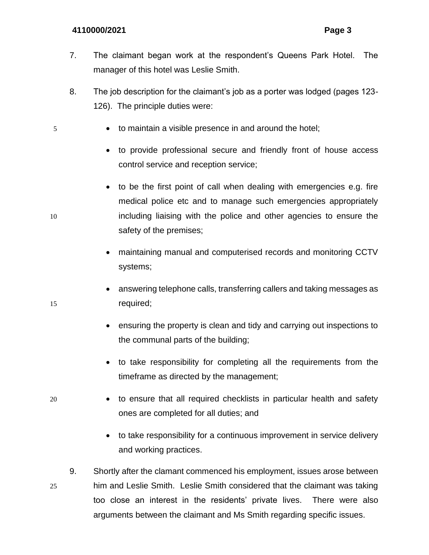- 7. The claimant began work at the respondent's Queens Park Hotel. The manager of this hotel was Leslie Smith.
- 8. The job description for the claimant's job as a porter was lodged (pages 123- 126). The principle duties were:
- 5 to maintain a visible presence in and around the hotel;
	- to provide professional secure and friendly front of house access control service and reception service;
- to be the first point of call when dealing with emergencies e.g. fire medical police etc and to manage such emergencies appropriately 10 including liaising with the police and other agencies to ensure the safety of the premises;
	- maintaining manual and computerised records and monitoring CCTV systems;
- answering telephone calls, transferring callers and taking messages as 15 required;
	- ensuring the property is clean and tidy and carrying out inspections to the communal parts of the building;
	- to take responsibility for completing all the requirements from the timeframe as directed by the management;
- 20 to ensure that all required checklists in particular health and safety ones are completed for all duties; and
	- to take responsibility for a continuous improvement in service delivery and working practices.
- 9. Shortly after the clamant commenced his employment, issues arose between 25 him and Leslie Smith. Leslie Smith considered that the claimant was taking too close an interest in the residents' private lives. There were also arguments between the claimant and Ms Smith regarding specific issues.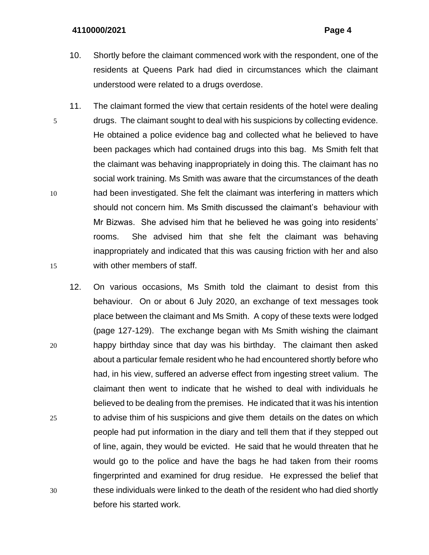- 10. Shortly before the claimant commenced work with the respondent, one of the residents at Queens Park had died in circumstances which the claimant understood were related to a drugs overdose.
- 11. The claimant formed the view that certain residents of the hotel were dealing 5 drugs. The claimant sought to deal with his suspicions by collecting evidence. He obtained a police evidence bag and collected what he believed to have been packages which had contained drugs into this bag. Ms Smith felt that the claimant was behaving inappropriately in doing this. The claimant has no social work training. Ms Smith was aware that the circumstances of the death 10 had been investigated. She felt the claimant was interfering in matters which should not concern him. Ms Smith discussed the claimant's behaviour with Mr Bizwas. She advised him that he believed he was going into residents' rooms. She advised him that she felt the claimant was behaving inappropriately and indicated that this was causing friction with her and also 15 with other members of staff.
- 12. On various occasions, Ms Smith told the claimant to desist from this behaviour. On or about 6 July 2020, an exchange of text messages took place between the claimant and Ms Smith. A copy of these texts were lodged (page 127-129). The exchange began with Ms Smith wishing the claimant 20 happy birthday since that day was his birthday. The claimant then asked about a particular female resident who he had encountered shortly before who had, in his view, suffered an adverse effect from ingesting street valium. The claimant then went to indicate that he wished to deal with individuals he believed to be dealing from the premises. He indicated that it was his intention 25 to advise thim of his suspicions and give them details on the dates on which people had put information in the diary and tell them that if they stepped out of line, again, they would be evicted. He said that he would threaten that he would go to the police and have the bags he had taken from their rooms fingerprinted and examined for drug residue. He expressed the belief that 30 these individuals were linked to the death of the resident who had died shortly before his started work.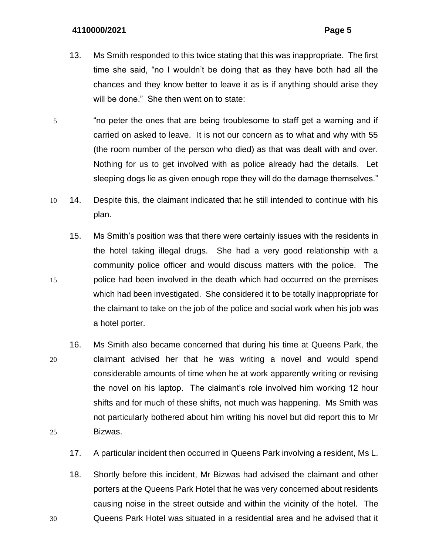- 13. Ms Smith responded to this twice stating that this was inappropriate. The first time she said, "no I wouldn't be doing that as they have both had all the chances and they know better to leave it as is if anything should arise they will be done." She then went on to state:
- 5 "no peter the ones that are being troublesome to staff get a warning and if carried on asked to leave. It is not our concern as to what and why with 55 (the room number of the person who died) as that was dealt with and over. Nothing for us to get involved with as police already had the details. Let sleeping dogs lie as given enough rope they will do the damage themselves."
- 10 14. Despite this, the claimant indicated that he still intended to continue with his plan.
- 15. Ms Smith's position was that there were certainly issues with the residents in the hotel taking illegal drugs. She had a very good relationship with a community police officer and would discuss matters with the police. The 15 police had been involved in the death which had occurred on the premises which had been investigated. She considered it to be totally inappropriate for the claimant to take on the job of the police and social work when his job was a hotel porter.
- 16. Ms Smith also became concerned that during his time at Queens Park, the 20 claimant advised her that he was writing a novel and would spend considerable amounts of time when he at work apparently writing or revising the novel on his laptop. The claimant's role involved him working 12 hour shifts and for much of these shifts, not much was happening. Ms Smith was not particularly bothered about him writing his novel but did report this to Mr 25 Bizwas.
	- 17. A particular incident then occurred in Queens Park involving a resident, Ms L.
- 18. Shortly before this incident, Mr Bizwas had advised the claimant and other porters at the Queens Park Hotel that he was very concerned about residents causing noise in the street outside and within the vicinity of the hotel. The 30 Queens Park Hotel was situated in a residential area and he advised that it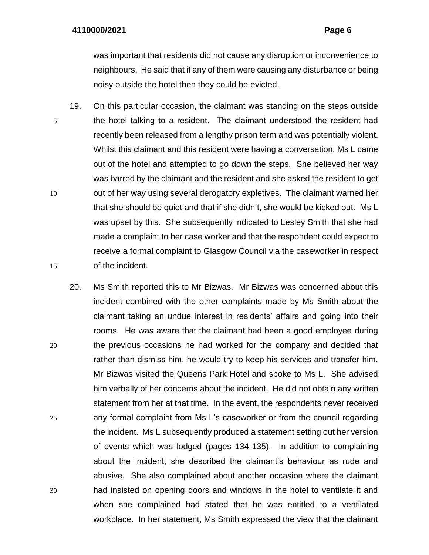was important that residents did not cause any disruption or inconvenience to neighbours. He said that if any of them were causing any disturbance or being noisy outside the hotel then they could be evicted.

- 19. On this particular occasion, the claimant was standing on the steps outside 5 the hotel talking to a resident. The claimant understood the resident had recently been released from a lengthy prison term and was potentially violent. Whilst this claimant and this resident were having a conversation, Ms L came out of the hotel and attempted to go down the steps. She believed her way was barred by the claimant and the resident and she asked the resident to get 10 out of her way using several derogatory expletives. The claimant warned her that she should be quiet and that if she didn't, she would be kicked out. Ms L was upset by this. She subsequently indicated to Lesley Smith that she had made a complaint to her case worker and that the respondent could expect to receive a formal complaint to Glasgow Council via the caseworker in respect 15 of the incident.
- 20. Ms Smith reported this to Mr Bizwas. Mr Bizwas was concerned about this incident combined with the other complaints made by Ms Smith about the claimant taking an undue interest in residents' affairs and going into their rooms. He was aware that the claimant had been a good employee during 20 the previous occasions he had worked for the company and decided that rather than dismiss him, he would try to keep his services and transfer him. Mr Bizwas visited the Queens Park Hotel and spoke to Ms L. She advised him verbally of her concerns about the incident. He did not obtain any written statement from her at that time. In the event, the respondents never received 25 any formal complaint from Ms L's caseworker or from the council regarding the incident. Ms L subsequently produced a statement setting out her version of events which was lodged (pages 134-135). In addition to complaining about the incident, she described the claimant's behaviour as rude and abusive. She also complained about another occasion where the claimant 30 had insisted on opening doors and windows in the hotel to ventilate it and when she complained had stated that he was entitled to a ventilated workplace. In her statement, Ms Smith expressed the view that the claimant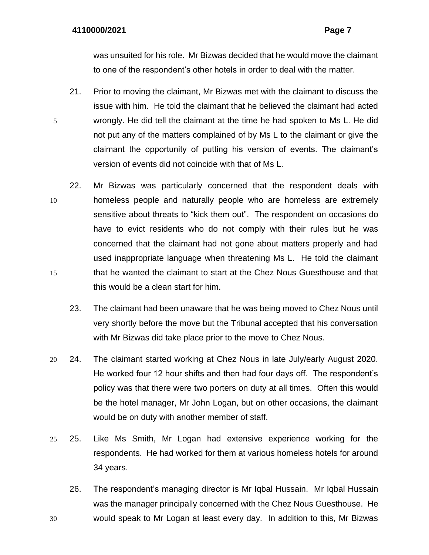was unsuited for his role. Mr Bizwas decided that he would move the claimant to one of the respondent's other hotels in order to deal with the matter.

- 21. Prior to moving the claimant, Mr Bizwas met with the claimant to discuss the issue with him. He told the claimant that he believed the claimant had acted 5 wrongly. He did tell the claimant at the time he had spoken to Ms L. He did not put any of the matters complained of by Ms L to the claimant or give the claimant the opportunity of putting his version of events. The claimant's version of events did not coincide with that of Ms L.
- 22. Mr Bizwas was particularly concerned that the respondent deals with 10 homeless people and naturally people who are homeless are extremely sensitive about threats to "kick them out". The respondent on occasions do have to evict residents who do not comply with their rules but he was concerned that the claimant had not gone about matters properly and had used inappropriate language when threatening Ms L. He told the claimant 15 that he wanted the claimant to start at the Chez Nous Guesthouse and that this would be a clean start for him.
	- 23. The claimant had been unaware that he was being moved to Chez Nous until very shortly before the move but the Tribunal accepted that his conversation with Mr Bizwas did take place prior to the move to Chez Nous.
- 20 24. The claimant started working at Chez Nous in late July/early August 2020. He worked four 12 hour shifts and then had four days off. The respondent's policy was that there were two porters on duty at all times. Often this would be the hotel manager, Mr John Logan, but on other occasions, the claimant would be on duty with another member of staff.
- 25 25. Like Ms Smith, Mr Logan had extensive experience working for the respondents. He had worked for them at various homeless hotels for around 34 years.
- 26. The respondent's managing director is Mr Iqbal Hussain. Mr Iqbal Hussain was the manager principally concerned with the Chez Nous Guesthouse. He 30 would speak to Mr Logan at least every day. In addition to this, Mr Bizwas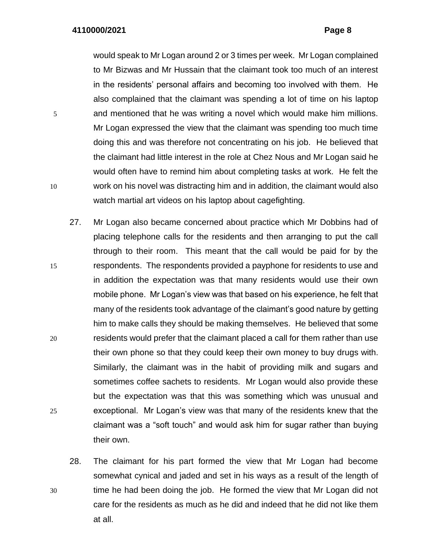would speak to Mr Logan around 2 or 3 times per week. Mr Logan complained to Mr Bizwas and Mr Hussain that the claimant took too much of an interest in the residents' personal affairs and becoming too involved with them. He also complained that the claimant was spending a lot of time on his laptop 5 and mentioned that he was writing a novel which would make him millions. Mr Logan expressed the view that the claimant was spending too much time doing this and was therefore not concentrating on his job. He believed that the claimant had little interest in the role at Chez Nous and Mr Logan said he would often have to remind him about completing tasks at work. He felt the 10 work on his novel was distracting him and in addition, the claimant would also watch martial art videos on his laptop about cagefighting.

- 27. Mr Logan also became concerned about practice which Mr Dobbins had of placing telephone calls for the residents and then arranging to put the call through to their room. This meant that the call would be paid for by the 15 respondents. The respondents provided a payphone for residents to use and in addition the expectation was that many residents would use their own mobile phone. Mr Logan's view was that based on his experience, he felt that many of the residents took advantage of the claimant's good nature by getting him to make calls they should be making themselves. He believed that some 20 residents would prefer that the claimant placed a call for them rather than use their own phone so that they could keep their own money to buy drugs with. Similarly, the claimant was in the habit of providing milk and sugars and sometimes coffee sachets to residents. Mr Logan would also provide these but the expectation was that this was something which was unusual and 25 exceptional. Mr Logan's view was that many of the residents knew that the claimant was a "soft touch" and would ask him for sugar rather than buying their own.
- 28. The claimant for his part formed the view that Mr Logan had become somewhat cynical and jaded and set in his ways as a result of the length of 30 time he had been doing the job. He formed the view that Mr Logan did not care for the residents as much as he did and indeed that he did not like them at all.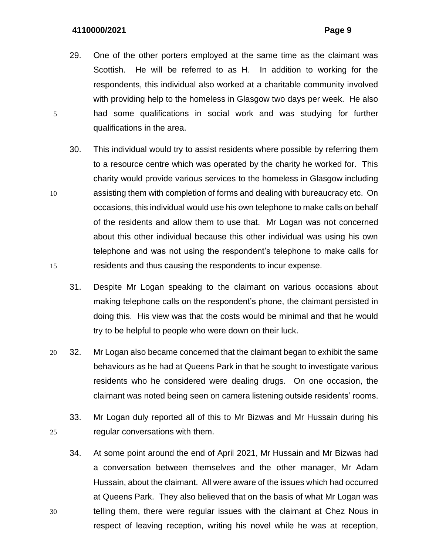- 29. One of the other porters employed at the same time as the claimant was Scottish. He will be referred to as H. In addition to working for the respondents, this individual also worked at a charitable community involved with providing help to the homeless in Glasgow two days per week. He also 5 had some qualifications in social work and was studying for further qualifications in the area.
- 30. This individual would try to assist residents where possible by referring them to a resource centre which was operated by the charity he worked for. This charity would provide various services to the homeless in Glasgow including 10 assisting them with completion of forms and dealing with bureaucracy etc. On occasions, this individual would use his own telephone to make calls on behalf of the residents and allow them to use that. Mr Logan was not concerned about this other individual because this other individual was using his own telephone and was not using the respondent's telephone to make calls for 15 residents and thus causing the respondents to incur expense.
	- 31. Despite Mr Logan speaking to the claimant on various occasions about making telephone calls on the respondent's phone, the claimant persisted in doing this. His view was that the costs would be minimal and that he would try to be helpful to people who were down on their luck.
- 20 32. Mr Logan also became concerned that the claimant began to exhibit the same behaviours as he had at Queens Park in that he sought to investigate various residents who he considered were dealing drugs. On one occasion, the claimant was noted being seen on camera listening outside residents' rooms.
- 33. Mr Logan duly reported all of this to Mr Bizwas and Mr Hussain during his 25 regular conversations with them.
- 34. At some point around the end of April 2021, Mr Hussain and Mr Bizwas had a conversation between themselves and the other manager, Mr Adam Hussain, about the claimant. All were aware of the issues which had occurred at Queens Park. They also believed that on the basis of what Mr Logan was 30 telling them, there were regular issues with the claimant at Chez Nous in respect of leaving reception, writing his novel while he was at reception,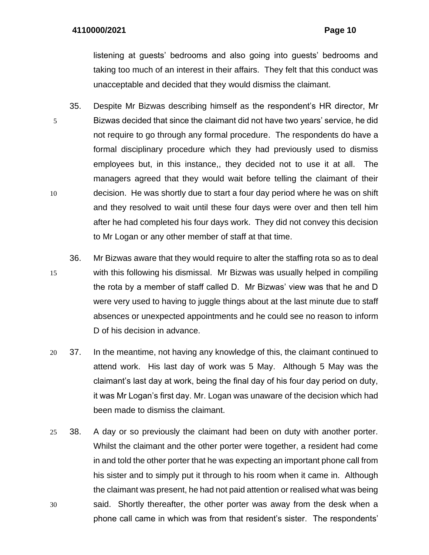listening at guests' bedrooms and also going into guests' bedrooms and taking too much of an interest in their affairs. They felt that this conduct was unacceptable and decided that they would dismiss the claimant.

- 35. Despite Mr Bizwas describing himself as the respondent's HR director, Mr 5 Bizwas decided that since the claimant did not have two years' service, he did not require to go through any formal procedure. The respondents do have a formal disciplinary procedure which they had previously used to dismiss employees but, in this instance,, they decided not to use it at all. The managers agreed that they would wait before telling the claimant of their 10 decision. He was shortly due to start a four day period where he was on shift and they resolved to wait until these four days were over and then tell him after he had completed his four days work. They did not convey this decision to Mr Logan or any other member of staff at that time.
- 36. Mr Bizwas aware that they would require to alter the staffing rota so as to deal 15 with this following his dismissal. Mr Bizwas was usually helped in compiling the rota by a member of staff called D. Mr Bizwas' view was that he and D were very used to having to juggle things about at the last minute due to staff absences or unexpected appointments and he could see no reason to inform D of his decision in advance.
- 20 37. In the meantime, not having any knowledge of this, the claimant continued to attend work. His last day of work was 5 May. Although 5 May was the claimant's last day at work, being the final day of his four day period on duty, it was Mr Logan's first day. Mr. Logan was unaware of the decision which had been made to dismiss the claimant.
- 25 38. A day or so previously the claimant had been on duty with another porter. Whilst the claimant and the other porter were together, a resident had come in and told the other porter that he was expecting an important phone call from his sister and to simply put it through to his room when it came in. Although the claimant was present, he had not paid attention or realised what was being 30 said. Shortly thereafter, the other porter was away from the desk when a phone call came in which was from that resident's sister. The respondents'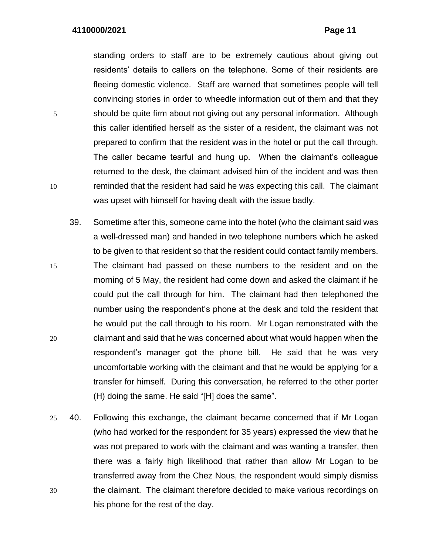standing orders to staff are to be extremely cautious about giving out residents' details to callers on the telephone. Some of their residents are fleeing domestic violence. Staff are warned that sometimes people will tell convincing stories in order to wheedle information out of them and that they 5 should be quite firm about not giving out any personal information. Although this caller identified herself as the sister of a resident, the claimant was not prepared to confirm that the resident was in the hotel or put the call through. The caller became tearful and hung up. When the claimant's colleague returned to the desk, the claimant advised him of the incident and was then 10 reminded that the resident had said he was expecting this call. The claimant was upset with himself for having dealt with the issue badly.

- 39. Sometime after this, someone came into the hotel (who the claimant said was a well-dressed man) and handed in two telephone numbers which he asked to be given to that resident so that the resident could contact family members. 15 The claimant had passed on these numbers to the resident and on the morning of 5 May, the resident had come down and asked the claimant if he could put the call through for him. The claimant had then telephoned the number using the respondent's phone at the desk and told the resident that he would put the call through to his room. Mr Logan remonstrated with the 20 claimant and said that he was concerned about what would happen when the respondent's manager got the phone bill. He said that he was very uncomfortable working with the claimant and that he would be applying for a transfer for himself. During this conversation, he referred to the other porter (H) doing the same. He said "[H] does the same".
- 25 40. Following this exchange, the claimant became concerned that if Mr Logan (who had worked for the respondent for 35 years) expressed the view that he was not prepared to work with the claimant and was wanting a transfer, then there was a fairly high likelihood that rather than allow Mr Logan to be transferred away from the Chez Nous, the respondent would simply dismiss 30 the claimant. The claimant therefore decided to make various recordings on his phone for the rest of the day.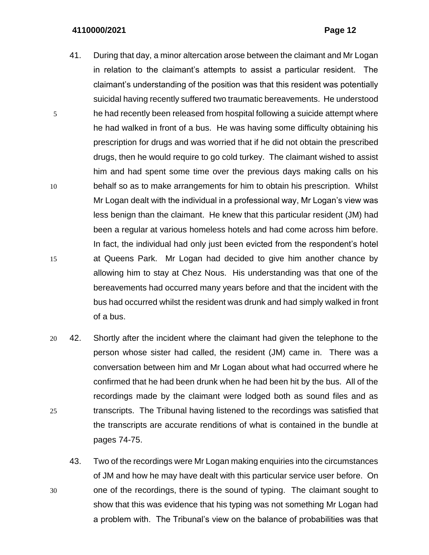- 41. During that day, a minor altercation arose between the claimant and Mr Logan in relation to the claimant's attempts to assist a particular resident. The claimant's understanding of the position was that this resident was potentially suicidal having recently suffered two traumatic bereavements. He understood 5 he had recently been released from hospital following a suicide attempt where he had walked in front of a bus. He was having some difficulty obtaining his prescription for drugs and was worried that if he did not obtain the prescribed drugs, then he would require to go cold turkey. The claimant wished to assist him and had spent some time over the previous days making calls on his 10 behalf so as to make arrangements for him to obtain his prescription. Whilst Mr Logan dealt with the individual in a professional way, Mr Logan's view was less benign than the claimant. He knew that this particular resident (JM) had been a regular at various homeless hotels and had come across him before. In fact, the individual had only just been evicted from the respondent's hotel 15 at Queens Park. Mr Logan had decided to give him another chance by allowing him to stay at Chez Nous. His understanding was that one of the bereavements had occurred many years before and that the incident with the bus had occurred whilst the resident was drunk and had simply walked in front of a bus.
- 20 42. Shortly after the incident where the claimant had given the telephone to the person whose sister had called, the resident (JM) came in. There was a conversation between him and Mr Logan about what had occurred where he confirmed that he had been drunk when he had been hit by the bus. All of the recordings made by the claimant were lodged both as sound files and as 25 transcripts. The Tribunal having listened to the recordings was satisfied that the transcripts are accurate renditions of what is contained in the bundle at pages 74-75.
- 43. Two of the recordings were Mr Logan making enquiries into the circumstances of JM and how he may have dealt with this particular service user before. On 30 one of the recordings, there is the sound of typing. The claimant sought to show that this was evidence that his typing was not something Mr Logan had a problem with. The Tribunal's view on the balance of probabilities was that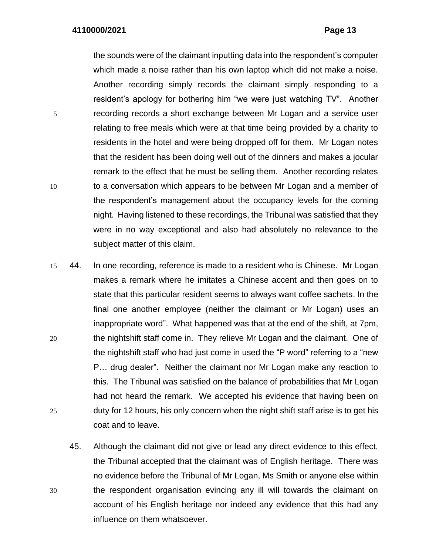the sounds were of the claimant inputting data into the respondent's computer which made a noise rather than his own laptop which did not make a noise. Another recording simply records the claimant simply responding to a resident's apology for bothering him "we were just watching TV". Another 5 recording records a short exchange between Mr Logan and a service user relating to free meals which were at that time being provided by a charity to residents in the hotel and were being dropped off for them. Mr Logan notes that the resident has been doing well out of the dinners and makes a jocular remark to the effect that he must be selling them. Another recording relates 10 to a conversation which appears to be between Mr Logan and a member of the respondent's management about the occupancy levels for the coming night. Having listened to these recordings, the Tribunal was satisfied that they were in no way exceptional and also had absolutely no relevance to the subject matter of this claim.

- 15 44. In one recording, reference is made to a resident who is Chinese. Mr Logan makes a remark where he imitates a Chinese accent and then goes on to state that this particular resident seems to always want coffee sachets. In the final one another employee (neither the claimant or Mr Logan) uses an inappropriate word". What happened was that at the end of the shift, at 7pm, 20 the nightshift staff come in. They relieve Mr Logan and the claimant. One of the nightshift staff who had just come in used the "P word" referring to a "new P… drug dealer". Neither the claimant nor Mr Logan make any reaction to this. The Tribunal was satisfied on the balance of probabilities that Mr Logan had not heard the remark. We accepted his evidence that having been on 25 duty for 12 hours, his only concern when the night shift staff arise is to get his coat and to leave.
- 45. Although the claimant did not give or lead any direct evidence to this effect, the Tribunal accepted that the claimant was of English heritage. There was no evidence before the Tribunal of Mr Logan, Ms Smith or anyone else within 30 the respondent organisation evincing any ill will towards the claimant on account of his English heritage nor indeed any evidence that this had any influence on them whatsoever.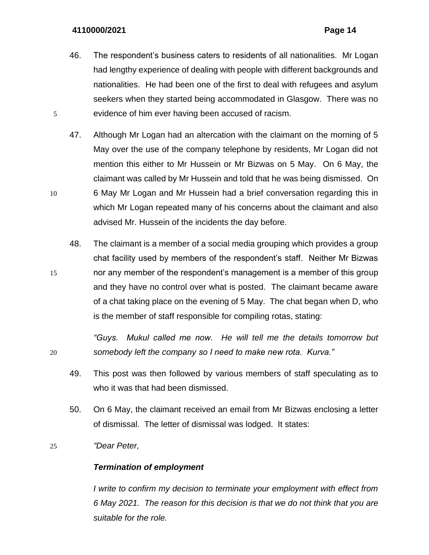- 46. The respondent's business caters to residents of all nationalities. Mr Logan had lengthy experience of dealing with people with different backgrounds and nationalities. He had been one of the first to deal with refugees and asylum seekers when they started being accommodated in Glasgow. There was no 5 evidence of him ever having been accused of racism.
- 47. Although Mr Logan had an altercation with the claimant on the morning of 5 May over the use of the company telephone by residents, Mr Logan did not mention this either to Mr Hussein or Mr Bizwas on 5 May. On 6 May, the claimant was called by Mr Hussein and told that he was being dismissed. On 10 6 May Mr Logan and Mr Hussein had a brief conversation regarding this in which Mr Logan repeated many of his concerns about the claimant and also advised Mr. Hussein of the incidents the day before.
- 48. The claimant is a member of a social media grouping which provides a group chat facility used by members of the respondent's staff. Neither Mr Bizwas 15 nor any member of the respondent's management is a member of this group and they have no control over what is posted. The claimant became aware of a chat taking place on the evening of 5 May. The chat began when D, who is the member of staff responsible for compiling rotas, stating:

*"Guys. Mukul called me now. He will tell me the details tomorrow but*  20 *somebody left the company so I need to make new rota. Kurva."*

- 49. This post was then followed by various members of staff speculating as to who it was that had been dismissed.
- 50. On 6 May, the claimant received an email from Mr Bizwas enclosing a letter of dismissal. The letter of dismissal was lodged. It states:

## 25 *"Dear Peter,*

### *Termination of employment*

*I* write to confirm my decision to terminate your employment with effect from *6 May 2021. The reason for this decision is that we do not think that you are suitable for the role.*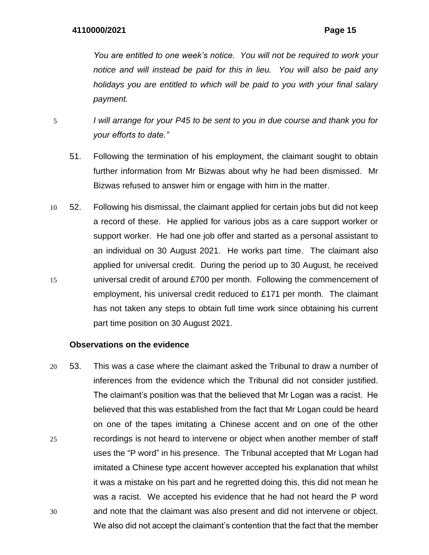*You are entitled to one week's notice. You will not be required to work your notice and will instead be paid for this in lieu. You will also be paid any holidays you are entitled to which will be paid to you with your final salary payment.* 

- 5 *I will arrange for your P45 to be sent to you in due course and thank you for your efforts to date."*
	- 51. Following the termination of his employment, the claimant sought to obtain further information from Mr Bizwas about why he had been dismissed. Mr Bizwas refused to answer him or engage with him in the matter.
- 10 52. Following his dismissal, the claimant applied for certain jobs but did not keep a record of these. He applied for various jobs as a care support worker or support worker. He had one job offer and started as a personal assistant to an individual on 30 August 2021. He works part time. The claimant also applied for universal credit. During the period up to 30 August, he received 15 universal credit of around £700 per month. Following the commencement of employment, his universal credit reduced to £171 per month. The claimant has not taken any steps to obtain full time work since obtaining his current part time position on 30 August 2021.

## **Observations on the evidence**

20 53. This was a case where the claimant asked the Tribunal to draw a number of inferences from the evidence which the Tribunal did not consider justified. The claimant's position was that the believed that Mr Logan was a racist. He believed that this was established from the fact that Mr Logan could be heard on one of the tapes imitating a Chinese accent and on one of the other 25 recordings is not heard to intervene or object when another member of staff uses the "P word" in his presence. The Tribunal accepted that Mr Logan had imitated a Chinese type accent however accepted his explanation that whilst it was a mistake on his part and he regretted doing this, this did not mean he was a racist. We accepted his evidence that he had not heard the P word 30 and note that the claimant was also present and did not intervene or object. We also did not accept the claimant's contention that the fact that the member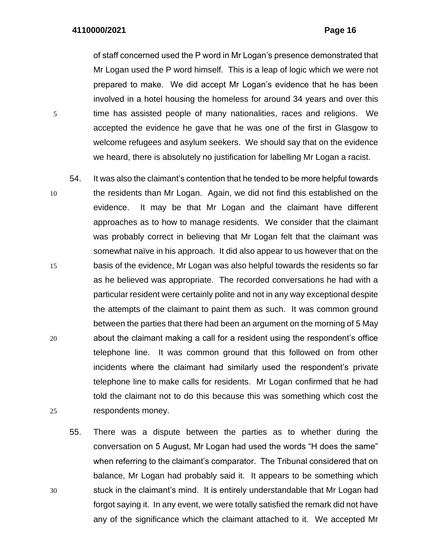of staff concerned used the P word in Mr Logan's presence demonstrated that Mr Logan used the P word himself. This is a leap of logic which we were not prepared to make. We did accept Mr Logan's evidence that he has been involved in a hotel housing the homeless for around 34 years and over this 5 time has assisted people of many nationalities, races and religions. We accepted the evidence he gave that he was one of the first in Glasgow to welcome refugees and asylum seekers. We should say that on the evidence we heard, there is absolutely no justification for labelling Mr Logan a racist.

- 54. It was also the claimant's contention that he tended to be more helpful towards 10 the residents than Mr Logan. Again, we did not find this established on the evidence. It may be that Mr Logan and the claimant have different approaches as to how to manage residents. We consider that the claimant was probably correct in believing that Mr Logan felt that the claimant was somewhat naïve in his approach. It did also appear to us however that on the 15 basis of the evidence, Mr Logan was also helpful towards the residents so far as he believed was appropriate. The recorded conversations he had with a particular resident were certainly polite and not in any way exceptional despite the attempts of the claimant to paint them as such. It was common ground between the parties that there had been an argument on the morning of 5 May 20 about the claimant making a call for a resident using the respondent's office telephone line. It was common ground that this followed on from other incidents where the claimant had similarly used the respondent's private telephone line to make calls for residents. Mr Logan confirmed that he had told the claimant not to do this because this was something which cost the 25 respondents money.
- 55. There was a dispute between the parties as to whether during the conversation on 5 August, Mr Logan had used the words "H does the same" when referring to the claimant's comparator. The Tribunal considered that on balance, Mr Logan had probably said it. It appears to be something which 30 stuck in the claimant's mind. It is entirely understandable that Mr Logan had forgot saying it. In any event, we were totally satisfied the remark did not have any of the significance which the claimant attached to it. We accepted Mr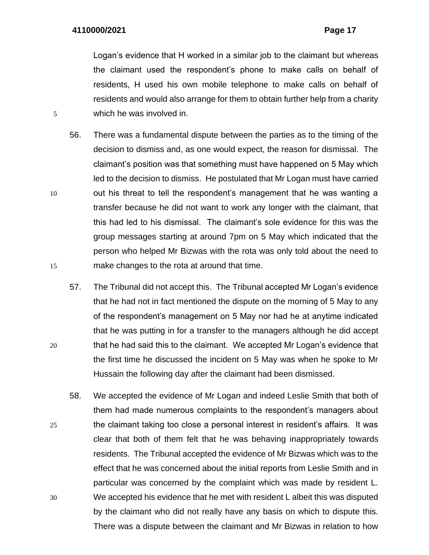Logan's evidence that H worked in a similar job to the claimant but whereas the claimant used the respondent's phone to make calls on behalf of residents, H used his own mobile telephone to make calls on behalf of residents and would also arrange for them to obtain further help from a charity 5 which he was involved in.

- 56. There was a fundamental dispute between the parties as to the timing of the decision to dismiss and, as one would expect, the reason for dismissal. The claimant's position was that something must have happened on 5 May which led to the decision to dismiss. He postulated that Mr Logan must have carried 10 out his threat to tell the respondent's management that he was wanting a transfer because he did not want to work any longer with the claimant, that this had led to his dismissal. The claimant's sole evidence for this was the group messages starting at around 7pm on 5 May which indicated that the person who helped Mr Bizwas with the rota was only told about the need to 15 make changes to the rota at around that time.
- 57. The Tribunal did not accept this. The Tribunal accepted Mr Logan's evidence that he had not in fact mentioned the dispute on the morning of 5 May to any of the respondent's management on 5 May nor had he at anytime indicated that he was putting in for a transfer to the managers although he did accept 20 that he had said this to the claimant. We accepted Mr Logan's evidence that the first time he discussed the incident on 5 May was when he spoke to Mr Hussain the following day after the claimant had been dismissed.
- 58. We accepted the evidence of Mr Logan and indeed Leslie Smith that both of them had made numerous complaints to the respondent's managers about 25 the claimant taking too close a personal interest in resident's affairs. It was clear that both of them felt that he was behaving inappropriately towards residents. The Tribunal accepted the evidence of Mr Bizwas which was to the effect that he was concerned about the initial reports from Leslie Smith and in particular was concerned by the complaint which was made by resident L. 30 We accepted his evidence that he met with resident L albeit this was disputed by the claimant who did not really have any basis on which to dispute this. There was a dispute between the claimant and Mr Bizwas in relation to how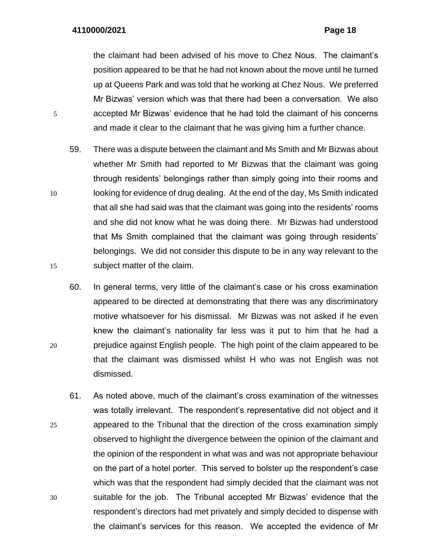the claimant had been advised of his move to Chez Nous. The claimant's position appeared to be that he had not known about the move until he turned up at Queens Park and was told that he working at Chez Nous. We preferred Mr Bizwas' version which was that there had been a conversation. We also 5 accepted Mr Bizwas' evidence that he had told the claimant of his concerns and made it clear to the claimant that he was giving him a further chance.

- 59. There was a dispute between the claimant and Ms Smith and Mr Bizwas about whether Mr Smith had reported to Mr Bizwas that the claimant was going through residents' belongings rather than simply going into their rooms and 10 looking for evidence of drug dealing. At the end of the day, Ms Smith indicated that all she had said was that the claimant was going into the residents' rooms and she did not know what he was doing there. Mr Bizwas had understood that Ms Smith complained that the claimant was going through residents' belongings. We did not consider this dispute to be in any way relevant to the 15 subject matter of the claim.
- 60. In general terms, very little of the claimant's case or his cross examination appeared to be directed at demonstrating that there was any discriminatory motive whatsoever for his dismissal. Mr Bizwas was not asked if he even knew the claimant's nationality far less was it put to him that he had a 20 prejudice against English people. The high point of the claim appeared to be that the claimant was dismissed whilst H who was not English was not dismissed.
- 61. As noted above, much of the claimant's cross examination of the witnesses was totally irrelevant. The respondent's representative did not object and it 25 appeared to the Tribunal that the direction of the cross examination simply observed to highlight the divergence between the opinion of the claimant and the opinion of the respondent in what was and was not appropriate behaviour on the part of a hotel porter. This served to bolster up the respondent's case which was that the respondent had simply decided that the claimant was not 30 suitable for the job. The Tribunal accepted Mr Bizwas' evidence that the respondent's directors had met privately and simply decided to dispense with the claimant's services for this reason. We accepted the evidence of Mr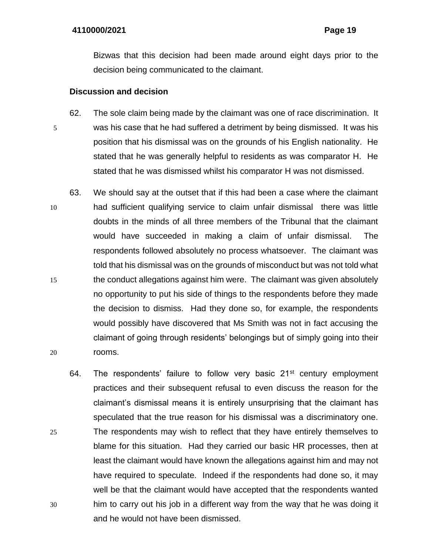Bizwas that this decision had been made around eight days prior to the decision being communicated to the claimant.

## **Discussion and decision**

- 62. The sole claim being made by the claimant was one of race discrimination. It 5 was his case that he had suffered a detriment by being dismissed. It was his position that his dismissal was on the grounds of his English nationality. He stated that he was generally helpful to residents as was comparator H. He stated that he was dismissed whilst his comparator H was not dismissed.
- 63. We should say at the outset that if this had been a case where the claimant 10 had sufficient qualifying service to claim unfair dismissal there was little doubts in the minds of all three members of the Tribunal that the claimant would have succeeded in making a claim of unfair dismissal. The respondents followed absolutely no process whatsoever. The claimant was told that his dismissal was on the grounds of misconduct but was not told what 15 the conduct allegations against him were. The claimant was given absolutely no opportunity to put his side of things to the respondents before they made the decision to dismiss. Had they done so, for example, the respondents would possibly have discovered that Ms Smith was not in fact accusing the claimant of going through residents' belongings but of simply going into their 20 rooms.
- 64. The respondents' failure to follow very basic  $21<sup>st</sup>$  century employment practices and their subsequent refusal to even discuss the reason for the claimant's dismissal means it is entirely unsurprising that the claimant has speculated that the true reason for his dismissal was a discriminatory one. 25 The respondents may wish to reflect that they have entirely themselves to blame for this situation. Had they carried our basic HR processes, then at least the claimant would have known the allegations against him and may not have required to speculate. Indeed if the respondents had done so, it may well be that the claimant would have accepted that the respondents wanted 30 him to carry out his job in a different way from the way that he was doing it and he would not have been dismissed.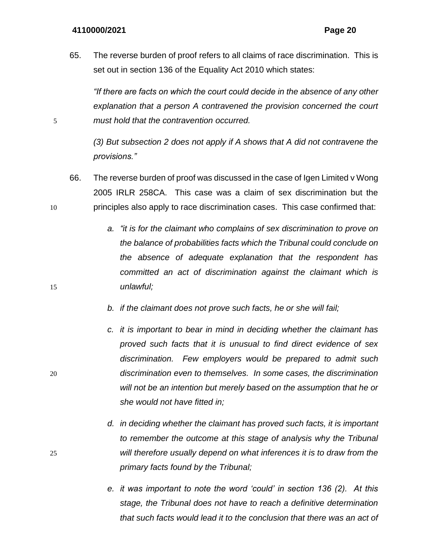65. The reverse burden of proof refers to all claims of race discrimination. This is set out in section 136 of the Equality Act 2010 which states:

*"If there are facts on which the court could decide in the absence of any other explanation that a person A contravened the provision concerned the court*  5 *must hold that the contravention occurred.*

> *(3) But subsection 2 does not apply if A shows that A did not contravene the provisions."*

- 66. The reverse burden of proof was discussed in the case of Igen Limited v Wong 2005 IRLR 258CA. This case was a claim of sex discrimination but the 10 principles also apply to race discrimination cases. This case confirmed that:
- *a. "it is for the claimant who complains of sex discrimination to prove on the balance of probabilities facts which the Tribunal could conclude on the absence of adequate explanation that the respondent has committed an act of discrimination against the claimant which is*  15 *unlawful;*
	- *b. if the claimant does not prove such facts, he or she will fail;*
- *c. it is important to bear in mind in deciding whether the claimant has proved such facts that it is unusual to find direct evidence of sex discrimination. Few employers would be prepared to admit such*  20 *discrimination even to themselves. In some cases, the discrimination will not be an intention but merely based on the assumption that he or she would not have fitted in;*
- *d. in deciding whether the claimant has proved such facts, it is important to remember the outcome at this stage of analysis why the Tribunal*  25 *will therefore usually depend on what inferences it is to draw from the primary facts found by the Tribunal;*
	- *e. it was important to note the word 'could' in section 136 (2). At this stage, the Tribunal does not have to reach a definitive determination that such facts would lead it to the conclusion that there was an act of*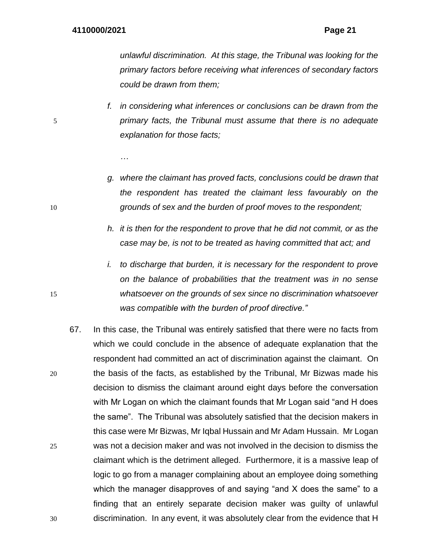*unlawful discrimination. At this stage, the Tribunal was looking for the primary factors before receiving what inferences of secondary factors could be drawn from them;*

- *f. in considering what inferences or conclusions can be drawn from the*  5 *primary facts, the Tribunal must assume that there is no adequate explanation for those facts;*
	- *…*
- *g. where the claimant has proved facts, conclusions could be drawn that the respondent has treated the claimant less favourably on the*  10 *grounds of sex and the burden of proof moves to the respondent;*
	- *h. it is then for the respondent to prove that he did not commit, or as the case may be, is not to be treated as having committed that act; and*
- *i. to discharge that burden, it is necessary for the respondent to prove on the balance of probabilities that the treatment was in no sense*  15 *whatsoever on the grounds of sex since no discrimination whatsoever was compatible with the burden of proof directive."*
- 67. In this case, the Tribunal was entirely satisfied that there were no facts from which we could conclude in the absence of adequate explanation that the respondent had committed an act of discrimination against the claimant. On 20 the basis of the facts, as established by the Tribunal, Mr Bizwas made his decision to dismiss the claimant around eight days before the conversation with Mr Logan on which the claimant founds that Mr Logan said "and H does the same". The Tribunal was absolutely satisfied that the decision makers in this case were Mr Bizwas, Mr Iqbal Hussain and Mr Adam Hussain. Mr Logan 25 was not a decision maker and was not involved in the decision to dismiss the claimant which is the detriment alleged. Furthermore, it is a massive leap of logic to go from a manager complaining about an employee doing something which the manager disapproves of and saying "and X does the same" to a finding that an entirely separate decision maker was guilty of unlawful 30 discrimination. In any event, it was absolutely clear from the evidence that H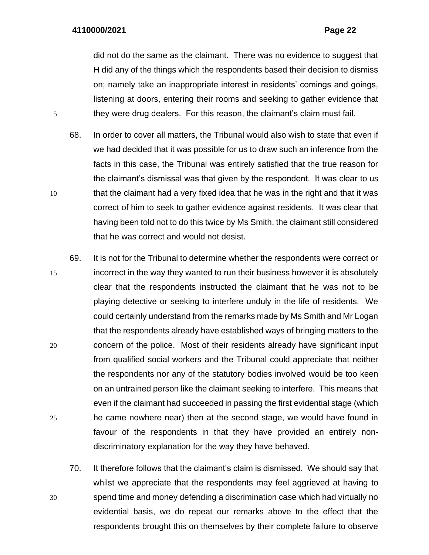did not do the same as the claimant. There was no evidence to suggest that H did any of the things which the respondents based their decision to dismiss on; namely take an inappropriate interest in residents' comings and goings, listening at doors, entering their rooms and seeking to gather evidence that 5 they were drug dealers. For this reason, the claimant's claim must fail.

- 68. In order to cover all matters, the Tribunal would also wish to state that even if we had decided that it was possible for us to draw such an inference from the facts in this case, the Tribunal was entirely satisfied that the true reason for the claimant's dismissal was that given by the respondent. It was clear to us 10 that the claimant had a very fixed idea that he was in the right and that it was correct of him to seek to gather evidence against residents. It was clear that having been told not to do this twice by Ms Smith, the claimant still considered that he was correct and would not desist.
- 69. It is not for the Tribunal to determine whether the respondents were correct or 15 incorrect in the way they wanted to run their business however it is absolutely clear that the respondents instructed the claimant that he was not to be playing detective or seeking to interfere unduly in the life of residents. We could certainly understand from the remarks made by Ms Smith and Mr Logan that the respondents already have established ways of bringing matters to the 20 concern of the police. Most of their residents already have significant input from qualified social workers and the Tribunal could appreciate that neither the respondents nor any of the statutory bodies involved would be too keen on an untrained person like the claimant seeking to interfere. This means that even if the claimant had succeeded in passing the first evidential stage (which 25 he came nowhere near) then at the second stage, we would have found in favour of the respondents in that they have provided an entirely nondiscriminatory explanation for the way they have behaved.
- 70. It therefore follows that the claimant's claim is dismissed. We should say that whilst we appreciate that the respondents may feel aggrieved at having to 30 spend time and money defending a discrimination case which had virtually no evidential basis, we do repeat our remarks above to the effect that the respondents brought this on themselves by their complete failure to observe